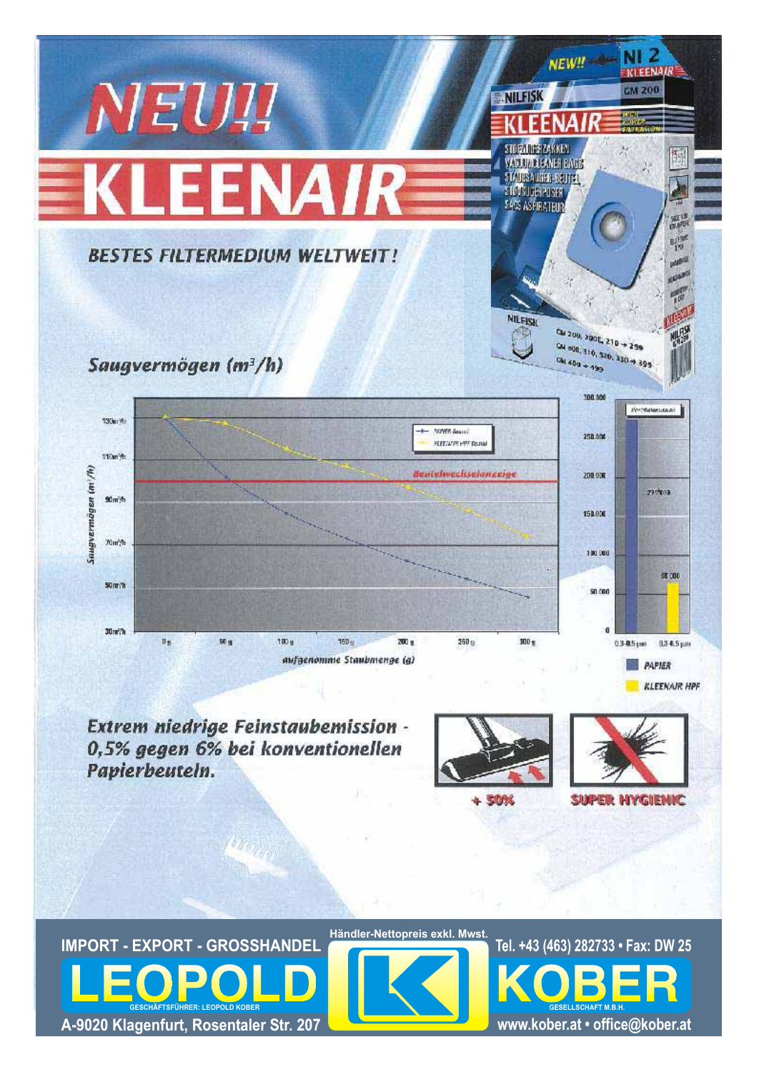

Extrem niedrige Feinstaubemission -0,5% gegen 6% bei konventionellen Papierbeuteln.





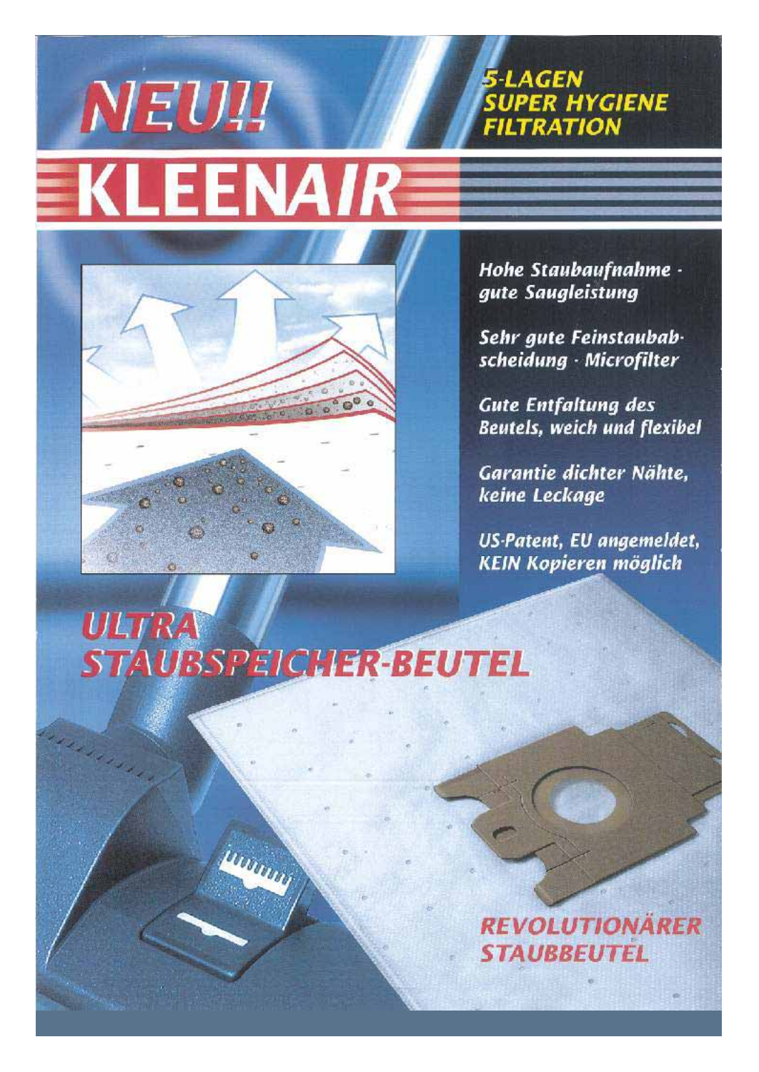## NEU!! **EKLEENAIR**



Hohe Staubaufnahme gute Saugleistung

**SUPER HYGIENE** 

**FILTRATION** 

5-LAGEN

Sehr gute Feinstaubabscheidung - Microfilter

**Gute Entfaltung des Beutels, weich und flexibel** 

Garantie dichter Nähte. keine Leckage

US-Patent, EU angemeldet, **KEIN Kopieren möglich** 

## **ULTRA STAUBSPEICHER-BEUTEL**

**INITIAL** 

## **REVOLUTIONARER STAUBBEUTEL**